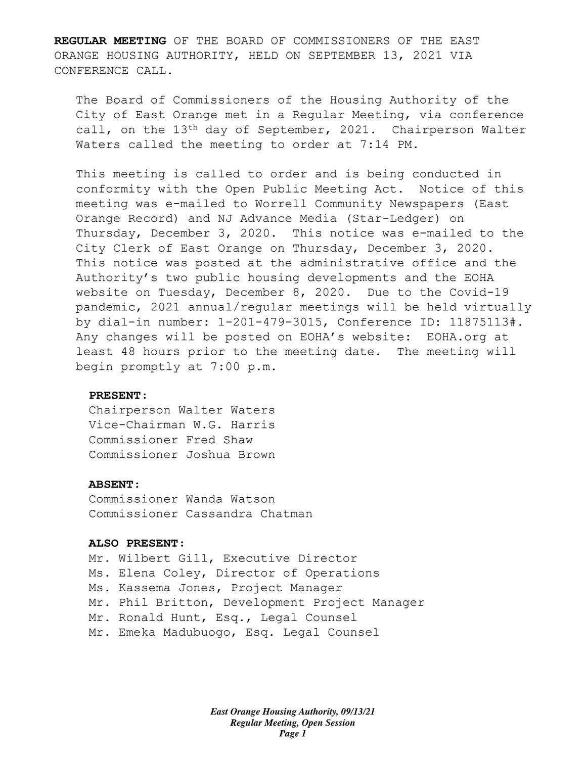**REGULAR MEETING** OF THE BOARD OF COMMISSIONERS OF THE EAST ORANGE HOUSING AUTHORITY, HELD ON SEPTEMBER 13, 2021 VIA CONFERENCE CALL.

The Board of Commissioners of the Housing Authority of the City of East Orange met in a Regular Meeting, via conference call, on the 13<sup>th</sup> day of September, 2021. Chairperson Walter Waters called the meeting to order at 7:14 PM.

This meeting is called to order and is being conducted in conformity with the Open Public Meeting Act. Notice of this meeting was e-mailed to Worrell Community Newspapers (East Orange Record) and NJ Advance Media (Star-Ledger) on Thursday, December 3, 2020. This notice was e-mailed to the City Clerk of East Orange on Thursday, December 3, 2020. This notice was posted at the administrative office and the Authority's two public housing developments and the EOHA website on Tuesday, December 8, 2020. Due to the Covid-19 pandemic, 2021 annual/regular meetings will be held virtually by dial-in number: 1-201-479-3015, Conference ID: 11875113#. Any changes will be posted on EOHA's website: EOHA.org at least 48 hours prior to the meeting date. The meeting will begin promptly at 7:00 p.m.

#### **PRESENT:**

Chairperson Walter Waters Vice-Chairman W.G. Harris Commissioner Fred Shaw Commissioner Joshua Brown

#### **ABSENT:**

Commissioner Wanda Watson Commissioner Cassandra Chatman

#### **ALSO PRESENT:**

Mr. Wilbert Gill, Executive Director Ms. Elena Coley, Director of Operations Ms. Kassema Jones, Project Manager Mr. Phil Britton, Development Project Manager Mr. Ronald Hunt, Esq., Legal Counsel Mr. Emeka Madubuogo, Esq. Legal Counsel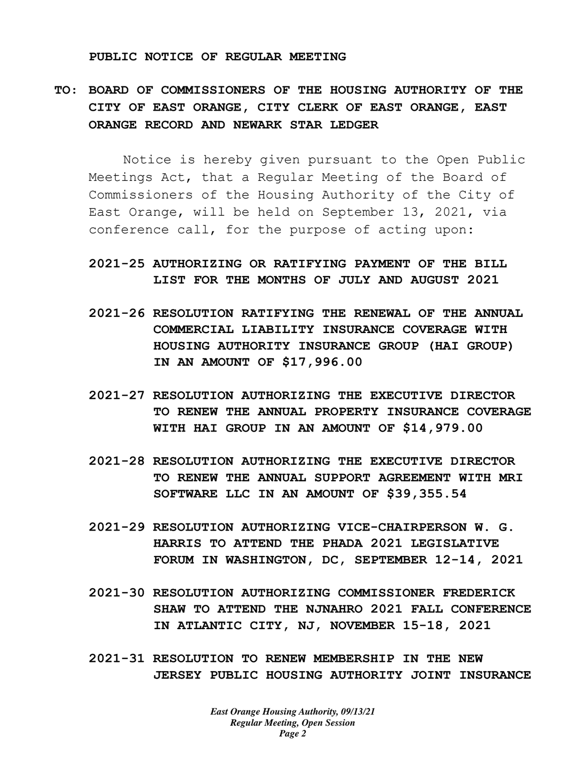#### **PUBLIC NOTICE OF REGULAR MEETING**

# **TO: BOARD OF COMMISSIONERS OF THE HOUSING AUTHORITY OF THE CITY OF EAST ORANGE, CITY CLERK OF EAST ORANGE, EAST ORANGE RECORD AND NEWARK STAR LEDGER**

Notice is hereby given pursuant to the Open Public Meetings Act, that a Regular Meeting of the Board of Commissioners of the Housing Authority of the City of East Orange, will be held on September 13, 2021, via conference call, for the purpose of acting upon:

## **2021-25 AUTHORIZING OR RATIFYING PAYMENT OF THE BILL LIST FOR THE MONTHS OF JULY AND AUGUST 2021**

- **2021-26 RESOLUTION RATIFYING THE RENEWAL OF THE ANNUAL COMMERCIAL LIABILITY INSURANCE COVERAGE WITH HOUSING AUTHORITY INSURANCE GROUP (HAI GROUP) IN AN AMOUNT OF \$17,996.00**
- **2021-27 RESOLUTION AUTHORIZING THE EXECUTIVE DIRECTOR TO RENEW THE ANNUAL PROPERTY INSURANCE COVERAGE WITH HAI GROUP IN AN AMOUNT OF \$14,979.00**
- **2021-28 RESOLUTION AUTHORIZING THE EXECUTIVE DIRECTOR TO RENEW THE ANNUAL SUPPORT AGREEMENT WITH MRI SOFTWARE LLC IN AN AMOUNT OF \$39,355.54**
- **2021-29 RESOLUTION AUTHORIZING VICE-CHAIRPERSON W. G. HARRIS TO ATTEND THE PHADA 2021 LEGISLATIVE FORUM IN WASHINGTON, DC, SEPTEMBER 12-14, 2021**
- **2021-30 RESOLUTION AUTHORIZING COMMISSIONER FREDERICK SHAW TO ATTEND THE NJNAHRO 2021 FALL CONFERENCE IN ATLANTIC CITY, NJ, NOVEMBER 15-18, 2021**
- **2021-31 RESOLUTION TO RENEW MEMBERSHIP IN THE NEW JERSEY PUBLIC HOUSING AUTHORITY JOINT INSURANCE**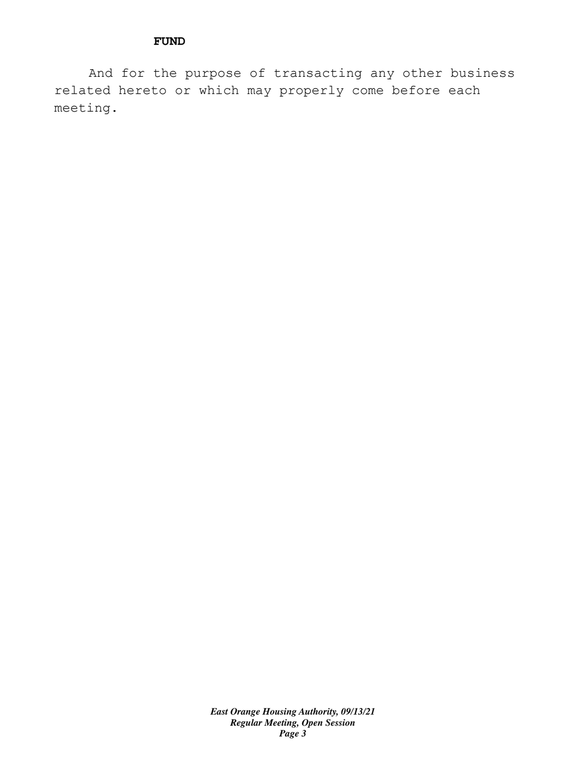### **FUND**

And for the purpose of transacting any other business related hereto or which may properly come before each meeting.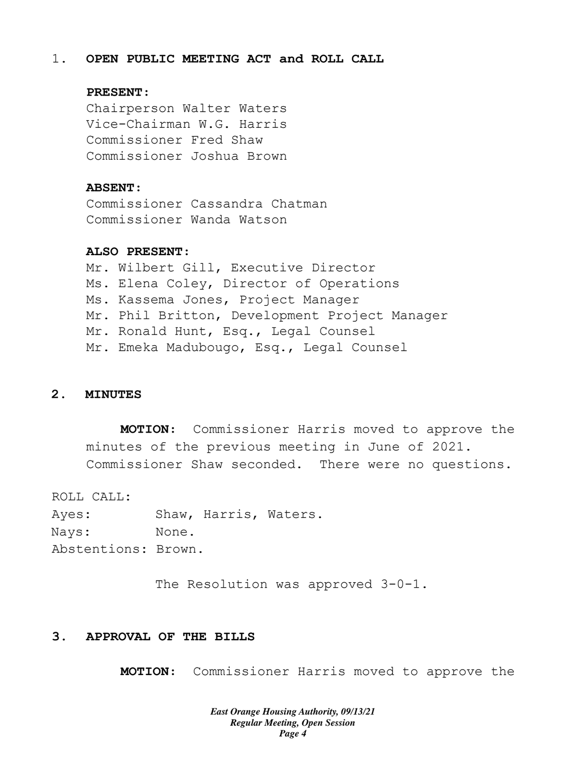#### 1. **OPEN PUBLIC MEETING ACT and ROLL CALL**

### **PRESENT:**

Chairperson Walter Waters Vice-Chairman W.G. Harris Commissioner Fred Shaw Commissioner Joshua Brown

#### **ABSENT:**

Commissioner Cassandra Chatman Commissioner Wanda Watson

## **ALSO PRESENT:**

Mr. Wilbert Gill, Executive Director Ms. Elena Coley, Director of Operations Ms. Kassema Jones, Project Manager Mr. Phil Britton, Development Project Manager Mr. Ronald Hunt, Esq., Legal Counsel Mr. Emeka Madubougo, Esq., Legal Counsel

## **2. MINUTES**

**MOTION:** Commissioner Harris moved to approve the minutes of the previous meeting in June of 2021. Commissioner Shaw seconded. There were no questions.

ROLL CALL:

Ayes: Shaw, Harris, Waters. Nays: None. Abstentions: Brown.

The Resolution was approved 3-0-1.

### **3. APPROVAL OF THE BILLS**

**MOTION:** Commissioner Harris moved to approve the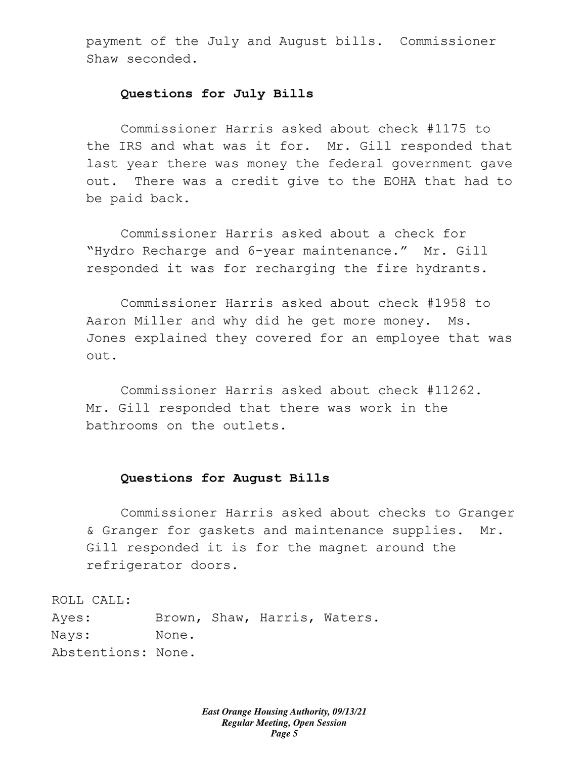payment of the July and August bills. Commissioner Shaw seconded.

#### **Questions for July Bills**

Commissioner Harris asked about check #1175 to the IRS and what was it for. Mr. Gill responded that last year there was money the federal government gave out. There was a credit give to the EOHA that had to be paid back.

Commissioner Harris asked about a check for "Hydro Recharge and 6-year maintenance." Mr. Gill responded it was for recharging the fire hydrants.

Commissioner Harris asked about check #1958 to Aaron Miller and why did he get more money. Ms. Jones explained they covered for an employee that was out.

Commissioner Harris asked about check #11262. Mr. Gill responded that there was work in the bathrooms on the outlets.

#### **Questions for August Bills**

Commissioner Harris asked about checks to Granger & Granger for gaskets and maintenance supplies. Mr. Gill responded it is for the magnet around the refrigerator doors.

ROLL CALL:

Ayes: Brown, Shaw, Harris, Waters. Nays: None. Abstentions: None.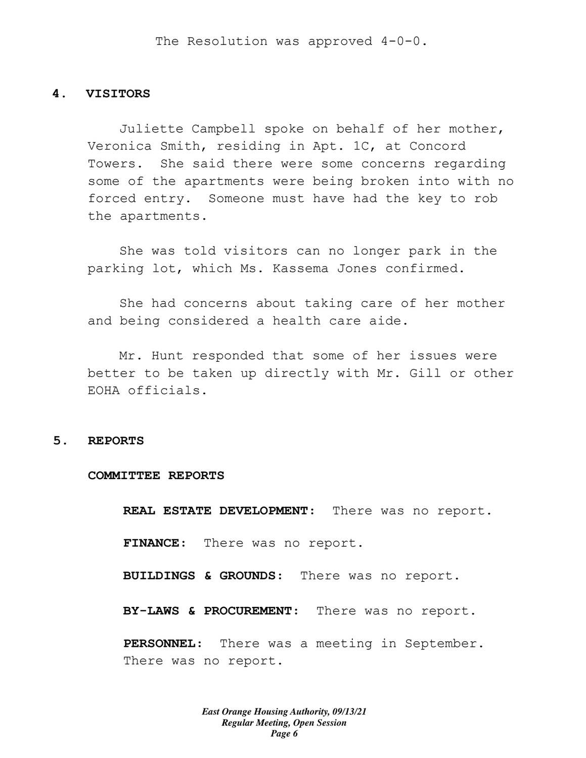#### **4. VISITORS**

Juliette Campbell spoke on behalf of her mother, Veronica Smith, residing in Apt. 1C, at Concord Towers. She said there were some concerns regarding some of the apartments were being broken into with no forced entry. Someone must have had the key to rob the apartments.

She was told visitors can no longer park in the parking lot, which Ms. Kassema Jones confirmed.

She had concerns about taking care of her mother and being considered a health care aide.

Mr. Hunt responded that some of her issues were better to be taken up directly with Mr. Gill or other EOHA officials.

#### **5. REPORTS**

#### **COMMITTEE REPORTS**

**REAL ESTATE DEVELOPMENT:** There was no report.

**FINANCE:** There was no report.

**BUILDINGS & GROUNDS:** There was no report.

**BY-LAWS & PROCUREMENT:** There was no report.

**PERSONNEL:** There was a meeting in September. There was no report.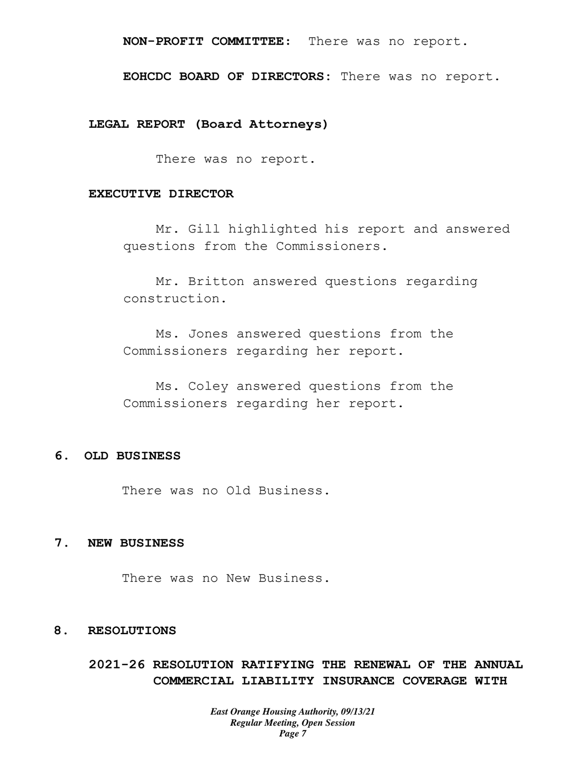## **NON-PROFIT COMMITTEE:** There was no report.

**EOHCDC BOARD OF DIRECTORS**: There was no report.

**LEGAL REPORT (Board Attorneys)**

There was no report.

#### **EXECUTIVE DIRECTOR**

Mr. Gill highlighted his report and answered questions from the Commissioners.

Mr. Britton answered questions regarding construction.

Ms. Jones answered questions from the Commissioners regarding her report.

Ms. Coley answered questions from the Commissioners regarding her report.

## **6. OLD BUSINESS**

There was no Old Business.

## **7. NEW BUSINESS**

There was no New Business.

#### **8. RESOLUTIONS**

**2021-26 RESOLUTION RATIFYING THE RENEWAL OF THE ANNUAL COMMERCIAL LIABILITY INSURANCE COVERAGE WITH**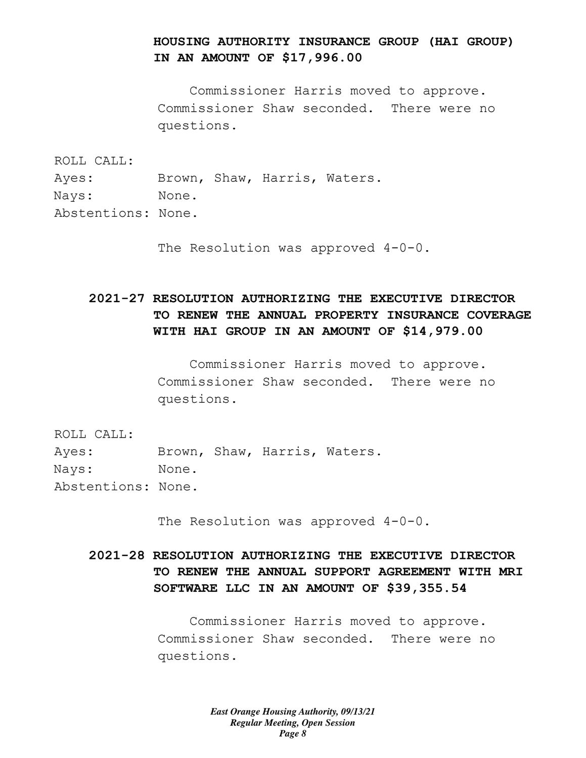## **HOUSING AUTHORITY INSURANCE GROUP (HAI GROUP) IN AN AMOUNT OF \$17,996.00**

Commissioner Harris moved to approve. Commissioner Shaw seconded. There were no questions.

ROLL CALL:

- Ayes: Brown, Shaw, Harris, Waters.
- Nays: None.
- Abstentions: None.

The Resolution was approved  $4-0-0$ .

# **2021-27 RESOLUTION AUTHORIZING THE EXECUTIVE DIRECTOR TO RENEW THE ANNUAL PROPERTY INSURANCE COVERAGE WITH HAI GROUP IN AN AMOUNT OF \$14,979.00**

Commissioner Harris moved to approve. Commissioner Shaw seconded. There were no questions.

ROLL CALL:

Ayes: Brown, Shaw, Harris, Waters. Nays: None. Abstentions: None.

The Resolution was approved  $4-0-0$ .

# **2021-28 RESOLUTION AUTHORIZING THE EXECUTIVE DIRECTOR TO RENEW THE ANNUAL SUPPORT AGREEMENT WITH MRI SOFTWARE LLC IN AN AMOUNT OF \$39,355.54**

Commissioner Harris moved to approve. Commissioner Shaw seconded. There were no questions.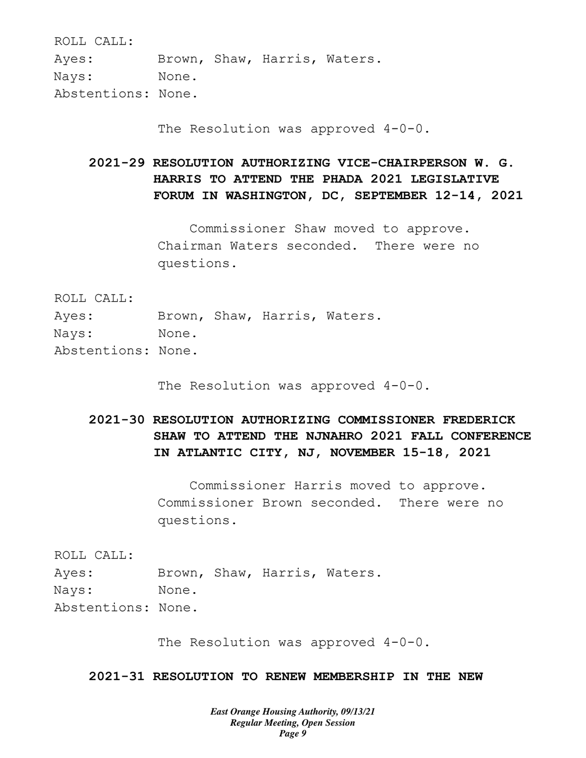ROLL CALL:

Ayes: Brown, Shaw, Harris, Waters. Nays: None.

Abstentions: None.

The Resolution was approved  $4-0-0$ .

**2021-29 RESOLUTION AUTHORIZING VICE-CHAIRPERSON W. G. HARRIS TO ATTEND THE PHADA 2021 LEGISLATIVE FORUM IN WASHINGTON, DC, SEPTEMBER 12-14, 2021** 

> Commissioner Shaw moved to approve. Chairman Waters seconded. There were no questions.

ROLL CALL:

- Ayes: Brown, Shaw, Harris, Waters.
- Nays: None.
- Abstentions: None.

The Resolution was approved  $4-0-0$ .

# **2021-30 RESOLUTION AUTHORIZING COMMISSIONER FREDERICK SHAW TO ATTEND THE NJNAHRO 2021 FALL CONFERENCE IN ATLANTIC CITY, NJ, NOVEMBER 15-18, 2021**

Commissioner Harris moved to approve. Commissioner Brown seconded. There were no questions.

ROLL CALL:

Ayes: Brown, Shaw, Harris, Waters. Nays: None. Abstentions: None.

The Resolution was approved  $4-0-0$ .

**2021-31 RESOLUTION TO RENEW MEMBERSHIP IN THE NEW**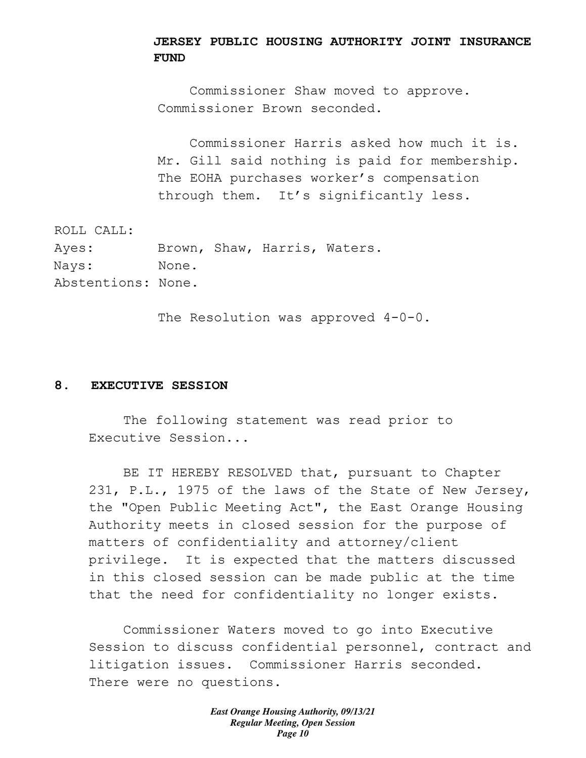## **JERSEY PUBLIC HOUSING AUTHORITY JOINT INSURANCE FUND**

Commissioner Shaw moved to approve. Commissioner Brown seconded.

Commissioner Harris asked how much it is. Mr. Gill said nothing is paid for membership. The EOHA purchases worker's compensation through them. It's significantly less.

ROLL CALL: Ayes: Brown, Shaw, Harris, Waters. Nays: None. Abstentions: None.

The Resolution was approved 4-0-0.

### **8. EXECUTIVE SESSION**

The following statement was read prior to Executive Session...

BE IT HEREBY RESOLVED that, pursuant to Chapter 231, P.L., 1975 of the laws of the State of New Jersey, the "Open Public Meeting Act", the East Orange Housing Authority meets in closed session for the purpose of matters of confidentiality and attorney/client privilege. It is expected that the matters discussed in this closed session can be made public at the time that the need for confidentiality no longer exists.

Commissioner Waters moved to go into Executive Session to discuss confidential personnel, contract and litigation issues. Commissioner Harris seconded. There were no questions.